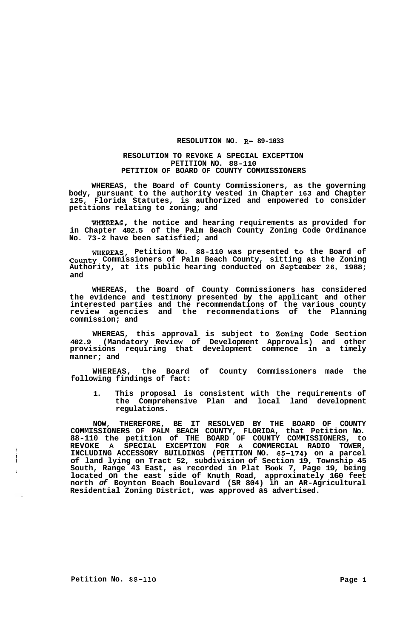## **RESOLUTION NO. R- 89-1033**

## **RESOLUTION TO REVOKE A SPECIAL EXCEPTION PETITION NO. 88-110 PETITION OF BOARD OF COUNTY COMMISSIONERS**

**WHEREAS, the Board of County Commissioners, as the governing body, pursuant to the authority vested in Chapter 163 and Chapter 125, Florida Statutes, is authorized and empowered to consider petitions relating to zoning; and** 

**WHERFAS, the notice and hearing requirements as provided for in Chapter 402.5 of the Palm Beach County Zoning Code Ordinance No. 73-2 have been satisfied; and** 

**WHEREAS, Petition No. 88-110 was presented to the Board of County Commissioners of Palm Beach County, sitting as the Zoning Authority, at its public hearing conducted on September 26, 1988; and** 

**WHEREAS, the Board of County Commissioners has considered the evidence and testimony presented by the applicant and other interested parties and the recommendations of the various county review agencies and the recommendations of the Planning commission; and** 

**WHEREAS, this approval is subject to Zoning Code Section 402.9 (Mandatory Review of Development Approvals) and other provisions requiring that development commence in a timely manner; and** 

**WHEREAS, the Board of County Commissioners made the following findings of fact:** 

**1. This proposal is consistent with the requirements of the Comprehensive Plan and local land development regulations.** 

**NOW, THEREFORE, BE IT RESOLVED BY THE BOARD OF COUNTY COMMISSIONERS OF PALM BEACH COUNTY, FLORIDA, that Petition No. 88-110 the petition of THE BOARD OF COUNTY COMMISSIONERS, to REVOKE A SPECIAL EXCEPTION FOR A COMMERCIAL RADIO TOWER, INCLUDING ACCESSORY BUILDINGS (PETITION NO. 85-174) on a parcel of land lying on Tract 52, subdivision of Section 19, Township 45 South, Range 43 East, as recorded in Plat Book 7, Page 19, being located on the east side of Knuth Road, approximately 160 feet north** *of* **Boynton Beach Boulevard (SR 804) in an AR-Agricultural Residential Zoning District, was approved as advertised.** 

 $\mathbf{I}$